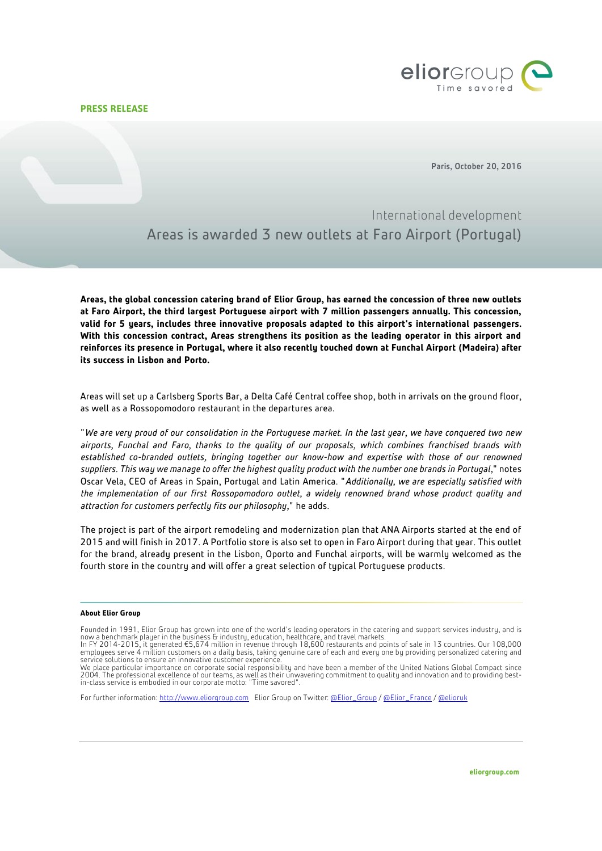**PRESS RELEASE**



Paris, October 20, 2016

International development Areas is awarded 3 new outlets at Faro Airport (Portugal)

**Areas, the global concession catering brand o[f Elior Group,](http://www.eliorgroup.com/) has earned the concession of three new outlets at Faro Airport, the third largest Portuguese airport with 7 million passengers annually. This concession, valid for 5 years, includes three innovative proposals adapted to this airport's international passengers. With this concession contract, Areas strengthens its position as the leading operator in this airport and reinforces its presence in Portugal, where it also recently touched down at Funchal Airport (Madeira) after its success in Lisbon and Porto.**

Areas will set up a Carlsberg Sports Bar, a Delta Café Central coffee shop, both in arrivals on the ground floor, as well as a Rossopomodoro restaurant in the departures area.

"*We are very proud of our consolidation in the Portuguese market. In the last year, we have conquered two new airports, Funchal and Faro, thanks to the quality of our proposals, which combines franchised brands with established co-branded outlets, bringing together our know-how and expertise with those of our renowned suppliers. This way we manage to offer the highest quality product with the number one brands in Portugal,*" notes Oscar Vela, CEO of Areas in Spain, Portugal and Latin America. "*Additionally, we are especially satisfied with the implementation of our first Rossopomodoro outlet, a widely renowned brand whose product quality and attraction for customers perfectly fits our philosophy,*" he adds.

The project is part of the airport remodeling and modernization plan that ANA Airports started at the end of 2015 and will finish in 2017. A Portfolio store is also set to open in Faro Airport during that year. This outlet for the brand, already present in the Lisbon, Oporto and Funchal airports, will be warmly welcomed as the fourth store in the country and will offer a great selection of typical Portuguese products.

## **About Elior Group**

For further information: [http://www.eliorgroup.com](http://www.eliorgroup.com/) Elior Group on Twitter[: @Elior\\_Group](https://twitter.com/Elior_Group) [/ @Elior\\_France](https://twitter.com/Elior_France) [/ @elioruk](https://twitter.com/elioruk)

Founded in 1991, Elior Group has grown into one of the world's leading operators in the catering and support services industry, and is now a benchmark player in the business & industry, education, healthcare, and travel markets.<br>In FY 2014-2015, it generated €5,674 million in revenue through 18,600 restaurants and points of sale in 13 countries. Our 108,

employees serve 4 million customers on a daily basis, taking genuine care of each and every one by providing personalized catering and service solutions to ensure an innovative customer experience

We place particular importance on corporate social responsibility and have been a member of the United Nations Global Compact since 2004. The professional excellence of our teams, as well as their unwavering commitment to quality and innovation and to providing bestin-class service is embodied in our corporate motto: "Time savored".